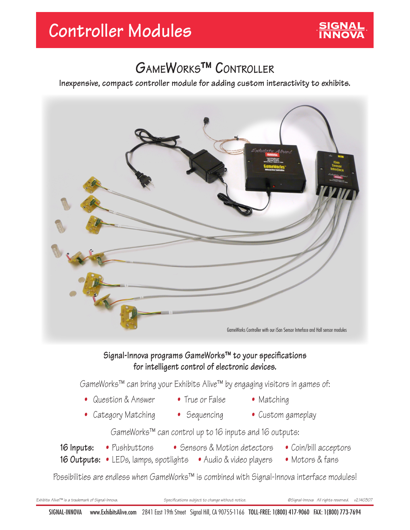## **GameWorks™ Controller**

**Inexpensive, compact controller module for adding custom interactivity to exhibits.**



### **Signal-Innova programs GameWorks™ to your specifications for intelligent control of electronic devices.**

GameWorks™ can bring your Exhibits Alive™ by engaging visitors in games of:

- Question & Answer True or False Matching
	-
- Category Matching Sequencing Custom gameplay
- 
- 
- 
- 
- 

GameWorks™ can control up to 16 inputs and 16 outputs:

- -
- 
- **16 Inputs:** Pushbuttons Sensors & Motion detectors Coin/bill acceptors
- **16 Outputs:** LEDs, lamps, spotlights Audio & video players Motors & fans

Possibilities are endless when GameWorks™ is combined with Signal-Innova interface modules!